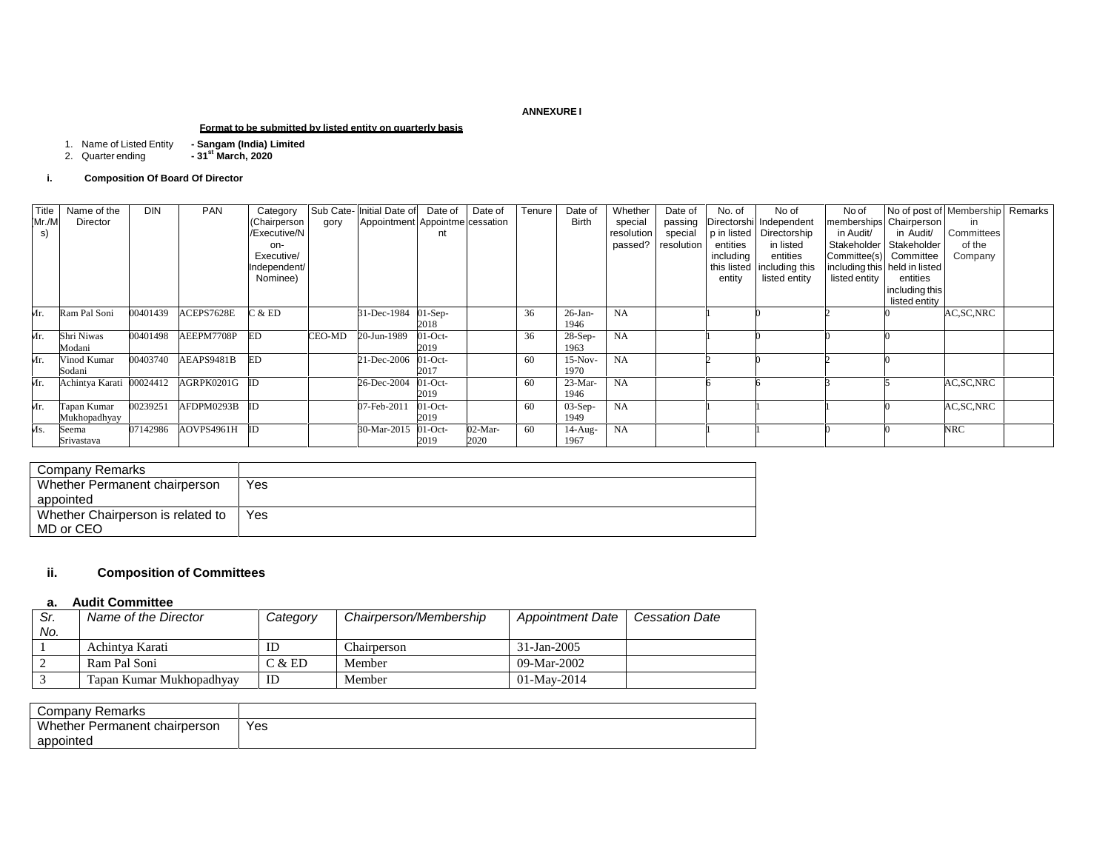#### **ANNEXURE I**

## **Format to be submitted by listed entity on quarterly basis**

- 
- 1. Name of Listed Entity **- Sangam (India) Limited** 2. Quarter ending **- 31st March, 2020**

#### **i. Composition Of Board Of Director**

| Title<br>Mr./M<br>s) | Name of the<br>Director    | <b>DIN</b> | <b>PAN</b>    | Category<br>(Chairperson<br>Executive/N<br>on-<br>Executive/<br>Independent/<br>Nominee) | gory   | Sub Cate- Initial Date of<br>Appointment Appointme cessation | Date of<br>nt      | Date of         | Tenure | Date of<br><b>Birth</b> | Whether<br>special<br>resolution<br>passed? | Date of<br>passing<br>special<br>resolution | No. of<br>p in listed<br>entities<br>including<br>entity | No of<br>Directorshi Independent<br>Directorship<br>in listed<br>entities<br>this listed   including this<br>listed entity | No of<br>in Audit/<br>Stakeholder  <br>listed entity | No of post of Membership Remarks<br>memberships Chairperson<br>in Audit/<br>Stakeholder<br>Committee(s) Committee<br>including this held in listed<br>entities<br>including this<br>listed entity | in<br>Committees<br>of the<br>Company |  |
|----------------------|----------------------------|------------|---------------|------------------------------------------------------------------------------------------|--------|--------------------------------------------------------------|--------------------|-----------------|--------|-------------------------|---------------------------------------------|---------------------------------------------|----------------------------------------------------------|----------------------------------------------------------------------------------------------------------------------------|------------------------------------------------------|---------------------------------------------------------------------------------------------------------------------------------------------------------------------------------------------------|---------------------------------------|--|
| Mr.                  | Ram Pal Soni               | 00401439   | ACEPS7628E    | 2 & E                                                                                    |        | 31-Dec-1984                                                  | $01-Sep-$<br>2018  |                 | 36     | $26-Ian-$<br>1946       | NA                                          |                                             |                                                          |                                                                                                                            |                                                      |                                                                                                                                                                                                   | AC, SC, NRC                           |  |
| Mr.                  | Shri Niwas<br>Modani       | 00401498   | AEEPM7708P    | ED                                                                                       | CEO-MD | 20-Jun-1989                                                  | $01$ -Oct-<br>2019 |                 | 36     | $28-Sep-$<br>1963       | NA                                          |                                             |                                                          |                                                                                                                            |                                                      |                                                                                                                                                                                                   |                                       |  |
| Mr.                  | Vinod Kumar<br>Sodani      | 00403740   | AEAPS9481B    | ED.                                                                                      |        | 21-Dec-2006                                                  | $01$ -Oct-<br>2017 |                 | 60     | $15-Nov-$<br>1970       | NA                                          |                                             |                                                          |                                                                                                                            |                                                      |                                                                                                                                                                                                   |                                       |  |
| Mr.                  | Achintya Karati 00024412   |            | AGRPK0201G ID |                                                                                          |        | 26-Dec-2004                                                  | $01$ -Oct-<br>2019 |                 | -60    | $23-Mar-$<br>1946       | NA                                          |                                             |                                                          |                                                                                                                            |                                                      |                                                                                                                                                                                                   | AC, SC, NRC                           |  |
| Mr.                  | apan Kumar<br>Mukhopadhyay | 00239251   | AFDPM0293B    | ID                                                                                       |        | 07-Feb-2011                                                  | $01$ -Oct-<br>2019 |                 | 60     | $03-Sep-$<br>1949       | NA                                          |                                             |                                                          |                                                                                                                            |                                                      |                                                                                                                                                                                                   | AC, SC, NRC                           |  |
| Ms.                  | Seema<br>Srivastava        | 07142986   | AOVPS4961H    |                                                                                          |        | 30-Mar-2015                                                  | $01$ -Oct-<br>2019 | 02-Mar-<br>2020 | -60    | 14-Aug-<br>1967         | NA                                          |                                             |                                                          |                                                                                                                            |                                                      |                                                                                                                                                                                                   | <b>NRC</b>                            |  |

| Company Remarks                   |     |
|-----------------------------------|-----|
| Whether Permanent chairperson     | Yes |
| appointed                         |     |
| Whether Chairperson is related to | Yes |
| MD or CEO                         |     |

# **ii. Composition of Committees**

## **a. Audit Committee**

| Sr. | Name of the Director     | Category | Chairperson/Membership | <b>Appointment Date</b> | <b>Cessation Date</b> |
|-----|--------------------------|----------|------------------------|-------------------------|-----------------------|
| No. |                          |          |                        |                         |                       |
|     | Achintya Karati          | ID       | Chairperson            | 31-Jan-2005             |                       |
|     | Ram Pal Soni             | C & E D  | Member                 | $09-Mar-2002$           |                       |
|     | Tapan Kumar Mukhopadhyay | ID       | Member                 | 01-May-2014             |                       |

| `ompany<br>Remarks                 |             |
|------------------------------------|-------------|
| Whether<br>r Permanent chairperson | Yes<br>$ -$ |
| appointed                          |             |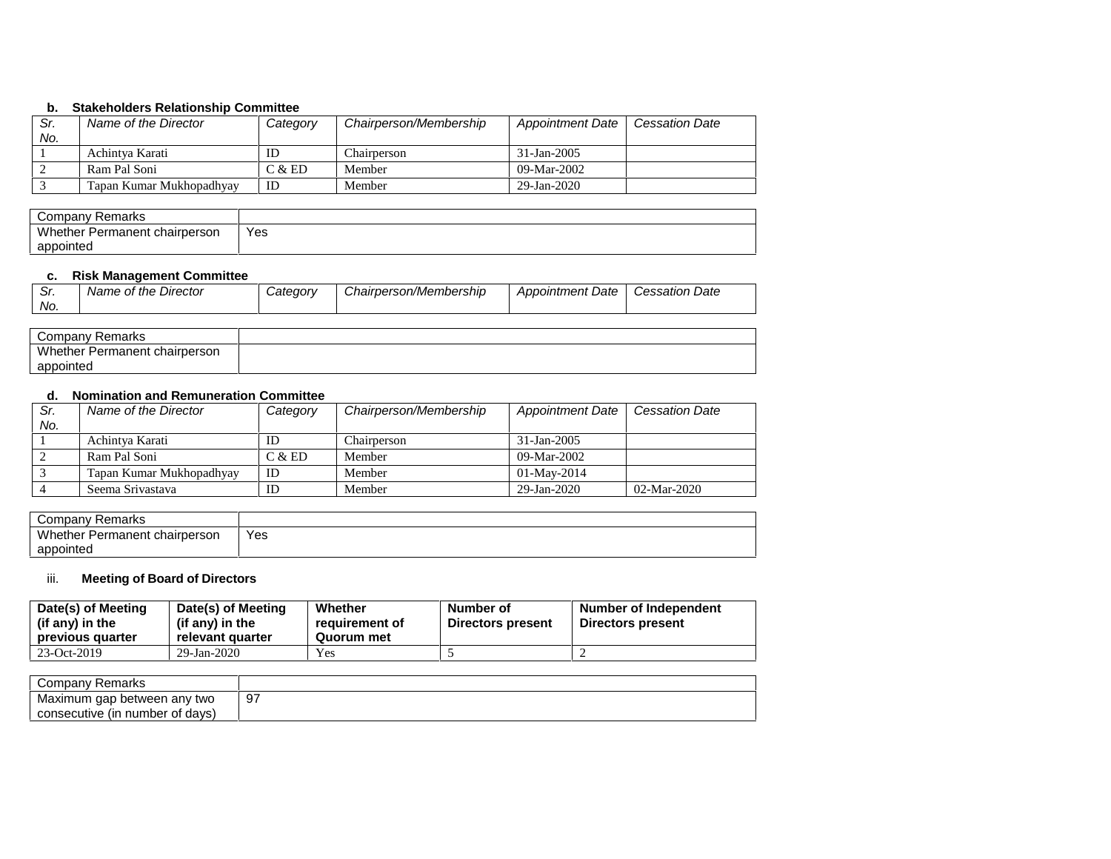## **b. Stakeholders Relationship Committee**

| Sr.<br>No. | Name of the Director     | Category | Chairperson/Membership | <b>Appointment Date</b> | <b>Cessation Date</b> |
|------------|--------------------------|----------|------------------------|-------------------------|-----------------------|
|            | Achintya Karati          | ID       | Chairperson            | 31-Jan-2005             |                       |
|            | Ram Pal Soni             | C & E D  | Member                 | 09-Mar-2002             |                       |
|            | Tapan Kumar Mukhopadhyay | ID       | Member                 | 29-Jan-2020             |                       |

| Remarks<br>Company            |           |
|-------------------------------|-----------|
| Whether Permanent chairperson | Yes<br>__ |
| appointed                     |           |

## **c. Risk Management Committee**

| <b>C</b><br>. ات | : Director<br>ot the<br>Name | <i><b>Category</b></i> | Chairperson/Membership | Appointment Date | ≀ Date<br>Cessation |
|------------------|------------------------------|------------------------|------------------------|------------------|---------------------|
| No.              |                              |                        |                        |                  |                     |

| Company<br>Remarks                      |  |
|-----------------------------------------|--|
| Whether<br>: chairperson<br>' Permanent |  |
| appointed                               |  |

# **d. Nomination and Remuneration Committee**

| Sr. | Name of the Director     | Category | Chairperson/Membership | <b>Appointment Date</b> | <b>Cessation Date</b> |
|-----|--------------------------|----------|------------------------|-------------------------|-----------------------|
| No. |                          |          |                        |                         |                       |
|     | Achintya Karati          | ID       | Chairperson            | 31-Jan-2005             |                       |
| -2  | Ram Pal Soni             | C & E D  | Member                 | $09-Mar-2002$           |                       |
|     | Tapan Kumar Mukhopadhyay | ID       | Member                 | $01-Mav-2014$           |                       |
|     | Seema Srivastava         | ID       | Member                 | 29-Jan-2020             | $02-Mar-2020$         |

| Company<br>Remarks                            |             |
|-----------------------------------------------|-------------|
| Whether<br><sup>-</sup> Permanent chairperson | Yes<br>$ -$ |
| appointed                                     |             |

# iii. **Meeting of Board of Directors**

| Date(s) of Meeting<br>(if any) in the<br>previous quarter | Date(s) of Meeting<br>(if any) in the<br>relevant quarter | Whether<br>reauirement of<br>Quorum met | Number of<br>Directors present | Number of Independent<br>Directors present |
|-----------------------------------------------------------|-----------------------------------------------------------|-----------------------------------------|--------------------------------|--------------------------------------------|
| 23-Oct-2019                                               | 29-Jan-2020                                               | Yes                                     |                                |                                            |

| Company<br>Remarks                |     |
|-----------------------------------|-----|
| Maximum gap between any two       | -97 |
| davs<br>consecutive (in number of |     |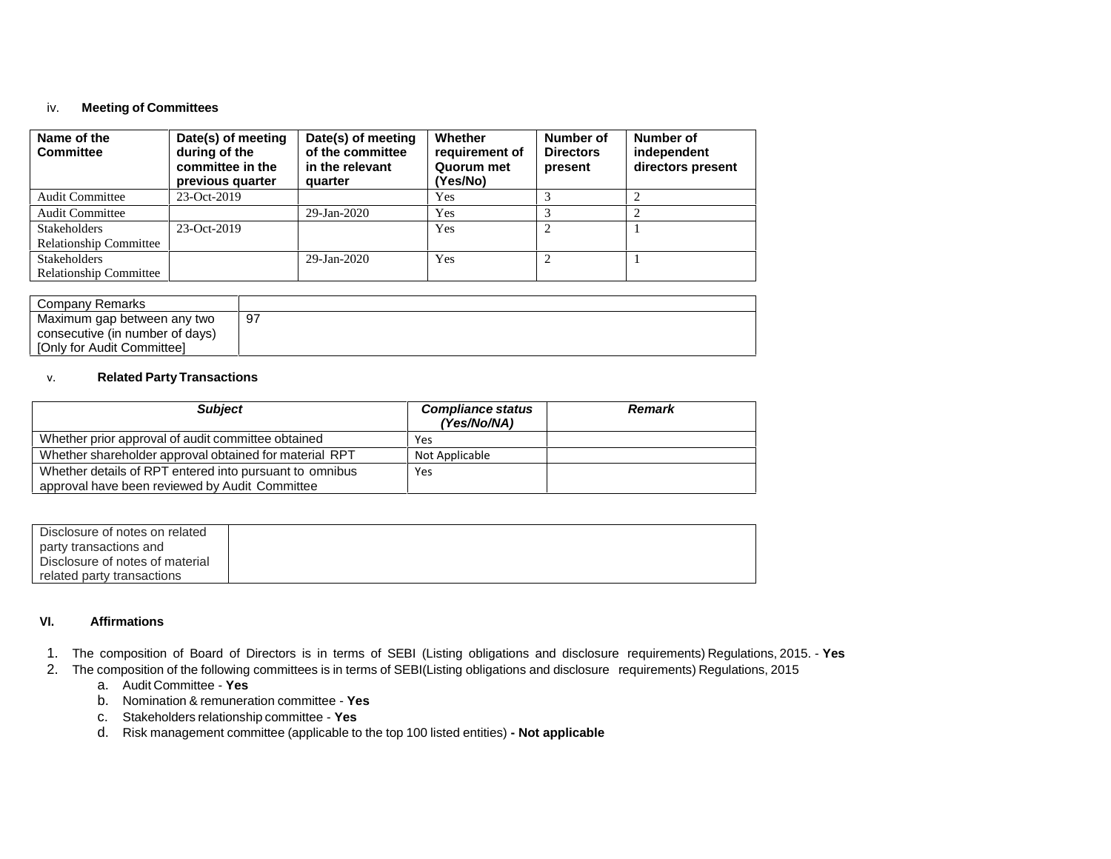# iv. **Meeting of Committees**

| Name of the<br><b>Committee</b> | Date(s) of meeting<br>during of the<br>committee in the<br>previous quarter | Date(s) of meeting<br>of the committee<br>in the relevant<br>quarter | Whether<br>requirement of<br>Quorum met<br>(Yes/No) | Number of<br><b>Directors</b><br>present | Number of<br>independent<br>directors present |
|---------------------------------|-----------------------------------------------------------------------------|----------------------------------------------------------------------|-----------------------------------------------------|------------------------------------------|-----------------------------------------------|
| <b>Audit Committee</b>          | $23-Oct-2019$                                                               |                                                                      | Yes                                                 |                                          |                                               |
| <b>Audit Committee</b>          |                                                                             | 29-Jan-2020                                                          | Yes                                                 |                                          |                                               |
| <b>Stakeholders</b>             | $23-Oct-2019$                                                               |                                                                      | Yes                                                 | 2                                        |                                               |
| <b>Relationship Committee</b>   |                                                                             |                                                                      |                                                     |                                          |                                               |
| <b>Stakeholders</b>             |                                                                             | 29-Jan-2020                                                          | Yes                                                 | ∍                                        |                                               |
| <b>Relationship Committee</b>   |                                                                             |                                                                      |                                                     |                                          |                                               |

| Company Remarks                 |     |
|---------------------------------|-----|
| Maximum gap between any two     | -97 |
| consecutive (in number of days) |     |
| [Only for Audit Committee]      |     |

## v. **Related Party Transactions**

| <b>Subject</b>                                          | <b>Compliance status</b><br>(Yes/No/NA) | <b>Remark</b> |
|---------------------------------------------------------|-----------------------------------------|---------------|
| Whether prior approval of audit committee obtained      | Yes                                     |               |
| Whether shareholder approval obtained for material RPT  | Not Applicable                          |               |
| Whether details of RPT entered into pursuant to omnibus | Yes                                     |               |
| approval have been reviewed by Audit Committee          |                                         |               |

| Disclosure of notes on related<br>party transactions and |  |
|----------------------------------------------------------|--|
| Disclosure of notes of material                          |  |
| related party transactions                               |  |

#### **VI. Affirmations**

- 1. The composition of Board of Directors is in terms of SEBI (Listing obligations and disclosure requirements) Regulations, 2015. **Yes**
- 2. The composition of the following committees is in terms of SEBI(Listing obligations and disclosure requirements) Regulations, 2015
	- a. Audit Committee **Yes**
	- b. Nomination & remuneration committee **Yes**
	- c. Stakeholders relationship committee **Yes**
	- d. Risk management committee (applicable to the top 100 listed entities) **- Not applicable**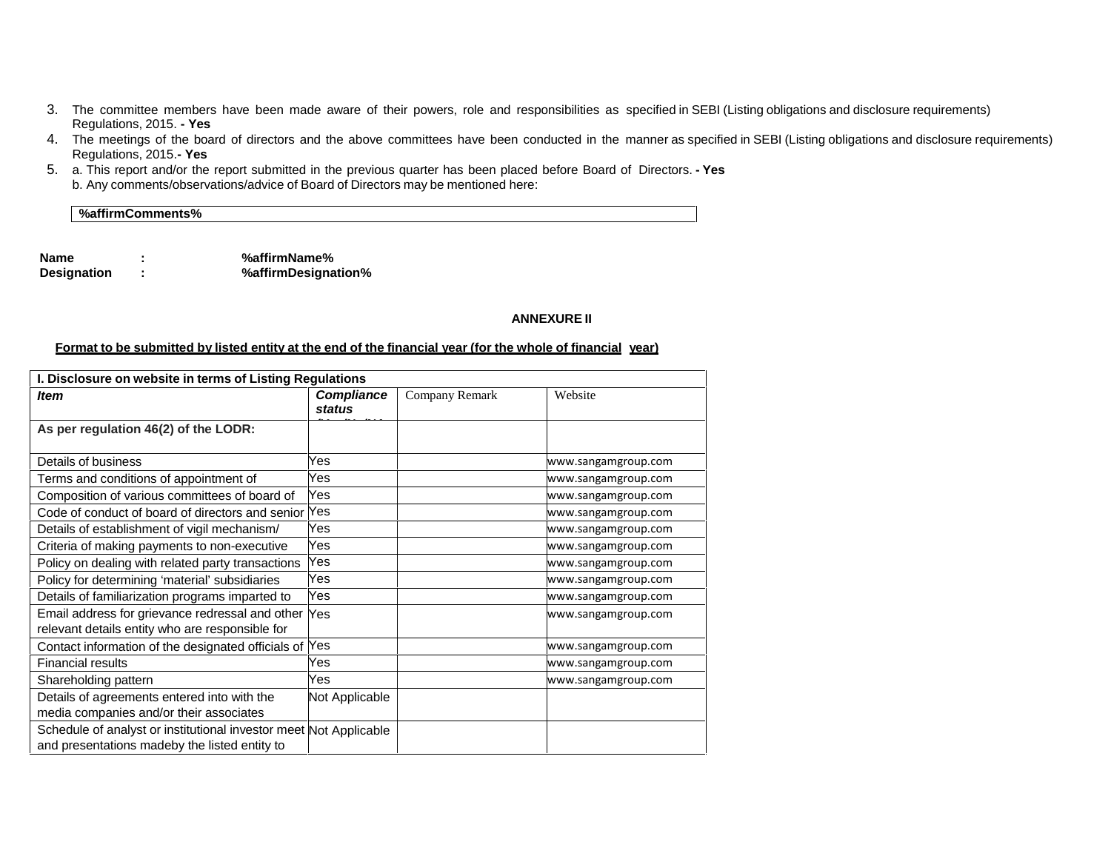- 3. The committee members have been made aware of their powers, role and responsibilities as specified in SEBI (Listing obligations and disclosure requirements) Regulations, 2015. **- Yes**
- 4. The meetings of the board of directors and the above committees have been conducted in the manner as specified in SEBI (Listing obligations and disclosure requirements) Regulations, 2015.**- Yes**
- 5. a. This report and/or the report submitted in the previous quarter has been placed before Board of Directors. **- Yes** b. Any comments/observations/advice of Board of Directors may be mentioned here:

**%affirmComments%**

**Name : %affirmName% Designation : %affirmDesignation%**

#### **ANNEXURE II**

#### Format to be submitted by listed entity at the end of the financial year (for the whole of financial year)

| I. Disclosure on website in terms of Listing Regulations                                                           |                             |                |                     |  |  |  |
|--------------------------------------------------------------------------------------------------------------------|-----------------------------|----------------|---------------------|--|--|--|
| <b>Item</b>                                                                                                        | <b>Compliance</b><br>status | Company Remark | Website             |  |  |  |
| As per regulation 46(2) of the LODR:                                                                               |                             |                |                     |  |  |  |
| Details of business                                                                                                | Yes                         |                | www.sangamgroup.com |  |  |  |
| Terms and conditions of appointment of                                                                             | Yes                         |                | www.sangamgroup.com |  |  |  |
| Composition of various committees of board of                                                                      | Yes                         |                | www.sangamgroup.com |  |  |  |
| Code of conduct of board of directors and senior Yes                                                               |                             |                | www.sangamgroup.com |  |  |  |
| Details of establishment of vigil mechanism/                                                                       | Yes                         |                | www.sangamgroup.com |  |  |  |
| Criteria of making payments to non-executive                                                                       | Yes                         |                | www.sangamgroup.com |  |  |  |
| Policy on dealing with related party transactions                                                                  | Yes                         |                | www.sangamgroup.com |  |  |  |
| Policy for determining 'material' subsidiaries                                                                     | Yes                         |                | www.sangamgroup.com |  |  |  |
| Details of familiarization programs imparted to                                                                    | Yes                         |                | www.sangamgroup.com |  |  |  |
| Email address for grievance redressal and other Yes                                                                |                             |                | www.sangamgroup.com |  |  |  |
| relevant details entity who are responsible for                                                                    |                             |                |                     |  |  |  |
| Contact information of the designated officials of Yes                                                             |                             |                | www.sangamgroup.com |  |  |  |
| <b>Financial results</b>                                                                                           | Yes                         |                | www.sangamgroup.com |  |  |  |
| Shareholding pattern                                                                                               | Yes                         |                | www.sangamgroup.com |  |  |  |
| Details of agreements entered into with the<br>media companies and/or their associates                             | Not Applicable              |                |                     |  |  |  |
| Schedule of analyst or institutional investor meet Not Applicable<br>and presentations madeby the listed entity to |                             |                |                     |  |  |  |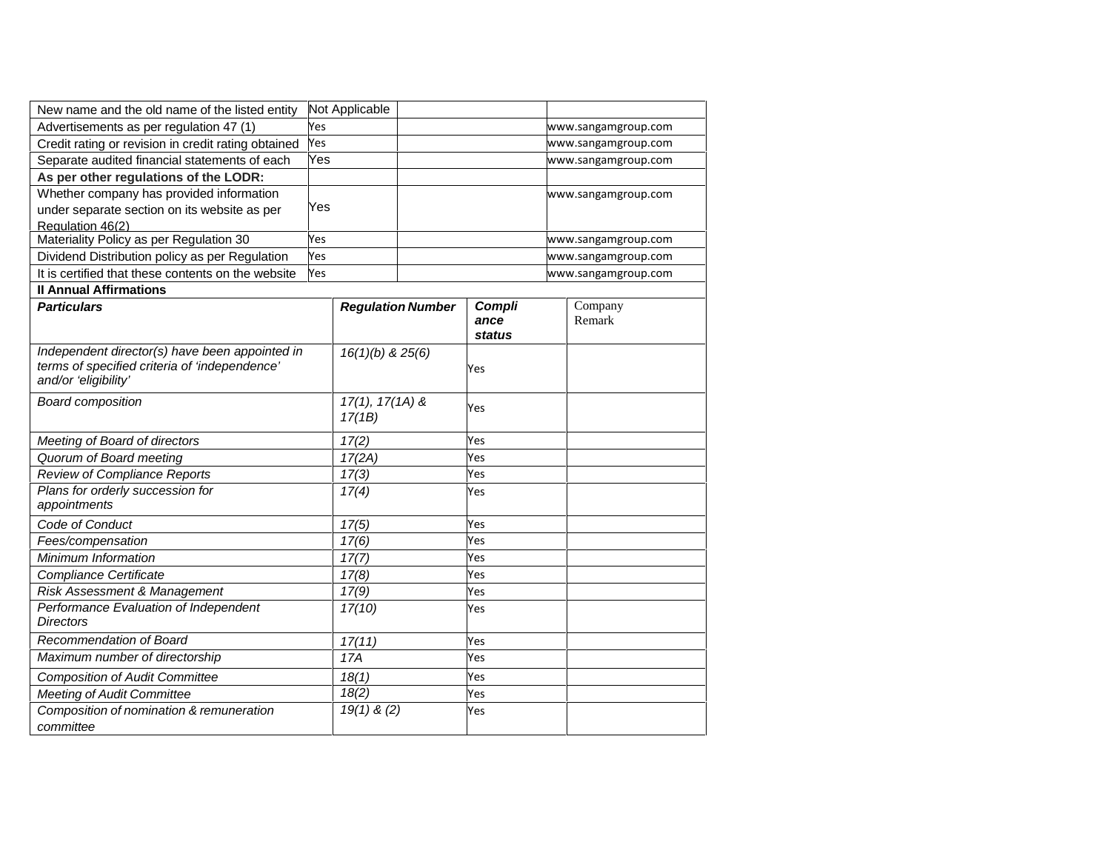| New name and the old name of the listed entity                                                                          |     | Not Applicable              |                          |                          |  |                     |
|-------------------------------------------------------------------------------------------------------------------------|-----|-----------------------------|--------------------------|--------------------------|--|---------------------|
| Advertisements as per regulation 47 (1)                                                                                 |     |                             |                          |                          |  | www.sangamgroup.com |
| Credit rating or revision in credit rating obtained                                                                     |     |                             |                          |                          |  | www.sangamgroup.com |
| Separate audited financial statements of each                                                                           | Yes |                             |                          |                          |  | www.sangamgroup.com |
| As per other regulations of the LODR:                                                                                   |     |                             |                          |                          |  |                     |
| Whether company has provided information                                                                                |     |                             |                          |                          |  | www.sangamgroup.com |
| under separate section on its website as per                                                                            | Yes |                             |                          |                          |  |                     |
| Regulation 46(2)                                                                                                        |     |                             |                          |                          |  |                     |
| Materiality Policy as per Regulation 30                                                                                 | Yes |                             |                          |                          |  | www.sangamgroup.com |
| Dividend Distribution policy as per Regulation                                                                          | Yes |                             |                          |                          |  | www.sangamgroup.com |
| It is certified that these contents on the website                                                                      | Yes |                             |                          |                          |  | www.sangamgroup.com |
| <b>Il Annual Affirmations</b>                                                                                           |     |                             |                          |                          |  |                     |
| <b>Particulars</b>                                                                                                      |     |                             | <b>Regulation Number</b> | Compli<br>ance<br>status |  | Company<br>Remark   |
| Independent director(s) have been appointed in<br>terms of specified criteria of 'independence'<br>and/or 'eligibility' |     | $16(1)(b)$ & $25(6)$        |                          | Yes                      |  |                     |
| <b>Board composition</b>                                                                                                |     | $17(1), 17(1A)$ &<br>17(1B) |                          | Yes                      |  |                     |
| Meeting of Board of directors                                                                                           |     | 17(2)                       |                          | Yes                      |  |                     |
| Quorum of Board meeting                                                                                                 |     | 17(2A)                      |                          | Yes                      |  |                     |
| Review of Compliance Reports                                                                                            |     | 17(3)                       |                          | Yes                      |  |                     |
| Plans for orderly succession for<br>appointments                                                                        |     | 17(4)                       |                          | Yes                      |  |                     |
| Code of Conduct                                                                                                         |     | 17(5)                       |                          | Yes                      |  |                     |
| Fees/compensation                                                                                                       |     | 17(6)                       |                          | Yes                      |  |                     |
| Minimum Information                                                                                                     |     | 17(7)                       |                          | Yes                      |  |                     |
| Compliance Certificate                                                                                                  |     | 17(8)                       |                          | Yes                      |  |                     |
| Risk Assessment & Management                                                                                            |     | 17(9)                       |                          | Yes                      |  |                     |
| Performance Evaluation of Independent<br><b>Directors</b>                                                               |     | 17(10)                      |                          | Yes                      |  |                     |
| Recommendation of Board                                                                                                 |     | 17(11)                      |                          | Yes                      |  |                     |
| Maximum number of directorship                                                                                          |     | 17A                         |                          | Yes                      |  |                     |
| <b>Composition of Audit Committee</b>                                                                                   |     | 18(1)                       |                          | Yes                      |  |                     |
| <b>Meeting of Audit Committee</b>                                                                                       |     | 18(2)                       |                          | Yes                      |  |                     |
| Composition of nomination & remuneration<br>committee                                                                   |     | $19(1)$ & (2)               |                          | Yes                      |  |                     |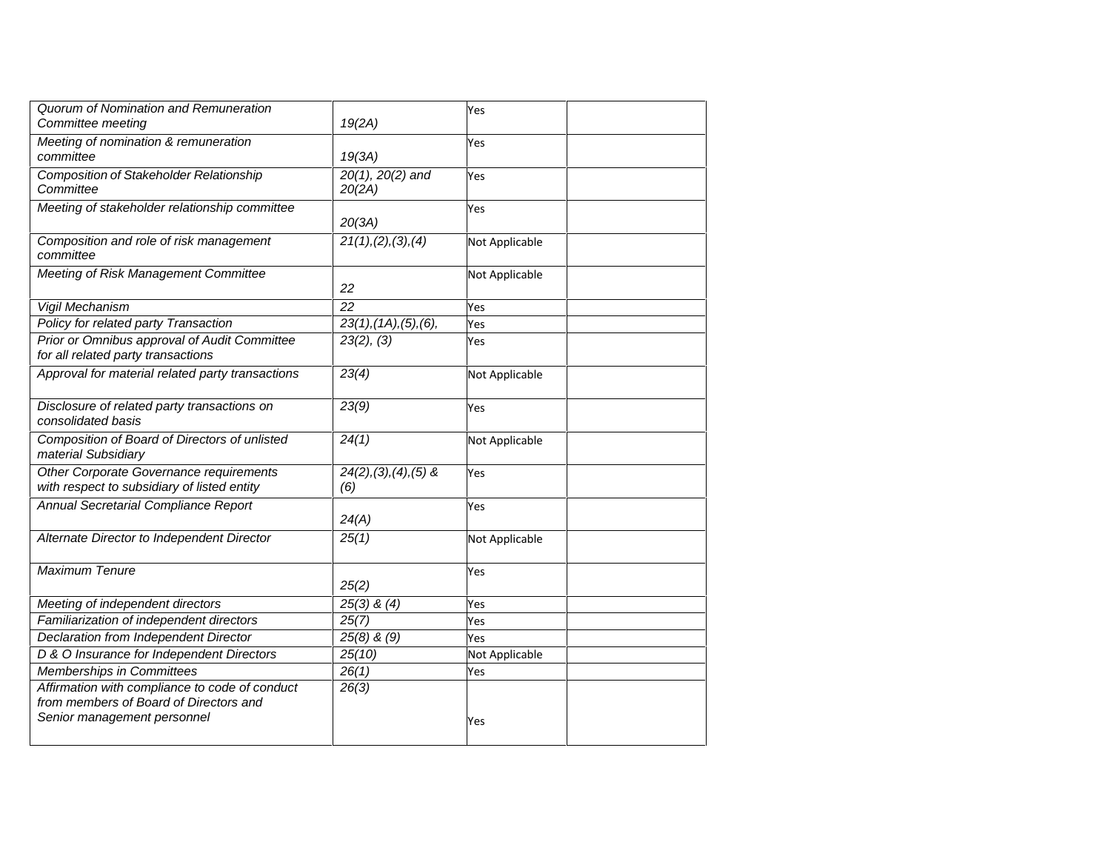| Quorum of Nomination and Remuneration<br>Committee meeting                                                              | 19(2A)                             | Yes            |
|-------------------------------------------------------------------------------------------------------------------------|------------------------------------|----------------|
| Meeting of nomination & remuneration<br>committee                                                                       | 19(3A)                             | Yes            |
| <b>Composition of Stakeholder Relationship</b><br>Committee                                                             | $20(1), 20(2)$ and<br>20(2A)       | Yes            |
| Meeting of stakeholder relationship committee                                                                           | 20(3A)                             | Yes            |
| Composition and role of risk management<br>committee                                                                    | 21(1), (2), (3), (4)               | Not Applicable |
| Meeting of Risk Management Committee                                                                                    | 22                                 | Not Applicable |
| Vigil Mechanism                                                                                                         | 22                                 | Yes            |
| Policy for related party Transaction                                                                                    | $23(1)$ , $(1A)$ , $(5)$ , $(6)$ , | Yes            |
| Prior or Omnibus approval of Audit Committee<br>for all related party transactions                                      | 23(2), (3)                         | Yes            |
| Approval for material related party transactions                                                                        | 23(4)                              | Not Applicable |
| Disclosure of related party transactions on<br>consolidated basis                                                       | 23(9)                              | Yes            |
| Composition of Board of Directors of unlisted<br>material Subsidiary                                                    | 24(1)                              | Not Applicable |
| Other Corporate Governance requirements<br>with respect to subsidiary of listed entity                                  | $24(2), (3), (4), (5)$ &<br>(6)    | Yes            |
| Annual Secretarial Compliance Report                                                                                    | 24(A)                              | Yes            |
| Alternate Director to Independent Director                                                                              | 25(1)                              | Not Applicable |
| Maximum Tenure                                                                                                          | 25(2)                              | Yes            |
| Meeting of independent directors                                                                                        | $25(3)$ & $(4)$                    | Yes            |
| Familiarization of independent directors                                                                                | 25(7)                              | Yes            |
| Declaration from Independent Director                                                                                   | $25(8)$ & $(9)$                    | Yes            |
| D & O Insurance for Independent Directors                                                                               | 25(10)                             | Not Applicable |
| Memberships in Committees                                                                                               | 26(1)                              | Yes            |
| Affirmation with compliance to code of conduct<br>from members of Board of Directors and<br>Senior management personnel | 26(3)                              | Yes            |